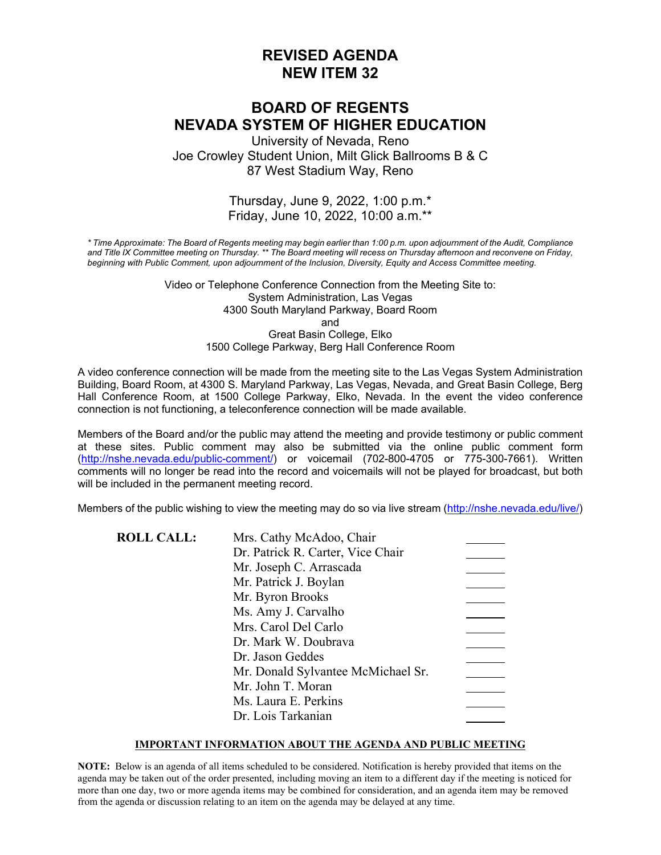# **REVISED AGENDA NEW ITEM 32**

# **BOARD OF REGENTS NEVADA SYSTEM OF HIGHER EDUCATION**

University of Nevada, Reno Joe Crowley Student Union, Milt Glick Ballrooms B & C 87 West Stadium Way, Reno

### Thursday, June 9, 2022, 1:00 p.m.\* Friday, June 10, 2022, 10:00 a.m.\*\*

*\* Time Approximate: The Board of Regents meeting may begin earlier than 1:00 p.m. upon adjournment of the Audit, Compliance and Title IX Committee meeting on Thursday. \*\* The Board meeting will recess on Thursday afternoon and reconvene on Friday, beginning with Public Comment, upon adjournment of the Inclusion, Diversity, Equity and Access Committee meeting.* 

> Video or Telephone Conference Connection from the Meeting Site to: System Administration, Las Vegas 4300 South Maryland Parkway, Board Room and Great Basin College, Elko 1500 College Parkway, Berg Hall Conference Room

A video conference connection will be made from the meeting site to the Las Vegas System Administration Building, Board Room, at 4300 S. Maryland Parkway, Las Vegas, Nevada, and Great Basin College, Berg Hall Conference Room, at 1500 College Parkway, Elko, Nevada. In the event the video conference connection is not functioning, a teleconference connection will be made available.

Members of the Board and/or the public may attend the meeting and provide testimony or public comment at these sites. Public comment may also be submitted via the online public comment form [\(http://nshe.nevada.edu/public-comment/\)](http://nshe.nevada.edu/public-comment/) or voicemail (702-800-4705 or 775-300-7661). Written comments will no longer be read into the record and voicemails will not be played for broadcast, but both will be included in the permanent meeting record.

Members of the public wishing to view the meeting may do so via live stream [\(http://nshe.nevada.edu/live/\)](http://nshe.nevada.edu/live/)

| <b>ROLL CALL:</b> | Mrs. Cathy McAdoo, Chair           |  |
|-------------------|------------------------------------|--|
|                   | Dr. Patrick R. Carter, Vice Chair  |  |
|                   | Mr. Joseph C. Arrascada            |  |
|                   | Mr. Patrick J. Boylan              |  |
|                   | Mr. Byron Brooks                   |  |
|                   | Ms. Amy J. Carvalho                |  |
|                   | Mrs. Carol Del Carlo               |  |
|                   | Dr. Mark W. Doubrava               |  |
|                   | Dr. Jason Geddes                   |  |
|                   | Mr. Donald Sylvantee McMichael Sr. |  |
|                   | Mr. John T. Moran                  |  |
|                   | Ms. Laura E. Perkins               |  |
|                   | Dr. Lois Tarkanian                 |  |

#### **IMPORTANT INFORMATION ABOUT THE AGENDA AND PUBLIC MEETING**

**NOTE:** Below is an agenda of all items scheduled to be considered. Notification is hereby provided that items on the agenda may be taken out of the order presented, including moving an item to a different day if the meeting is noticed for more than one day, two or more agenda items may be combined for consideration, and an agenda item may be removed from the agenda or discussion relating to an item on the agenda may be delayed at any time.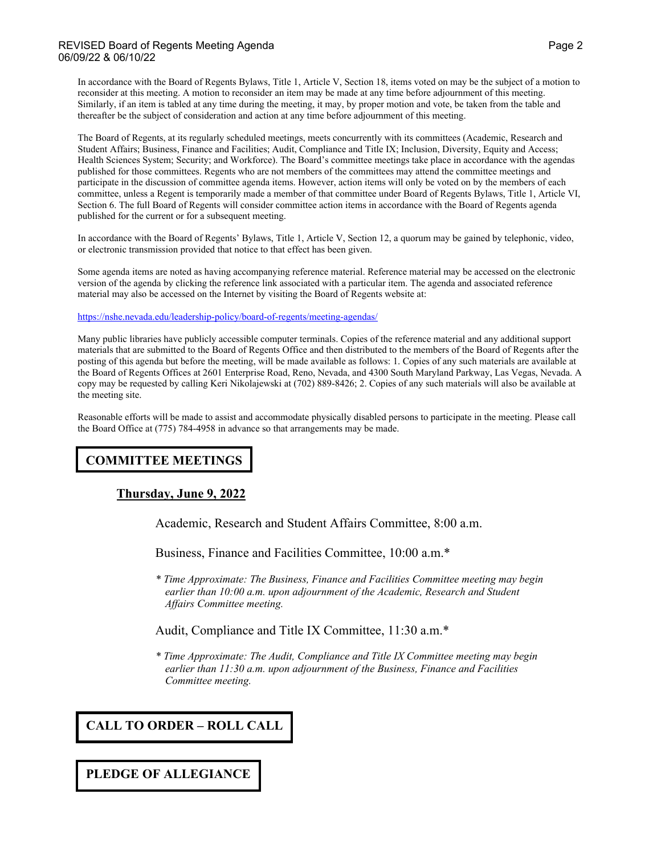#### REVISED Board of Regents Meeting AgendaPage 2 06/09/22 & 06/10/22

In accordance with the Board of Regents Bylaws, Title 1, Article V, Section 18, items voted on may be the subject of a motion to reconsider at this meeting. A motion to reconsider an item may be made at any time before adjournment of this meeting. Similarly, if an item is tabled at any time during the meeting, it may, by proper motion and vote, be taken from the table and thereafter be the subject of consideration and action at any time before adjournment of this meeting.

The Board of Regents, at its regularly scheduled meetings, meets concurrently with its committees (Academic, Research and Student Affairs; Business, Finance and Facilities; Audit, Compliance and Title IX; Inclusion, Diversity, Equity and Access; Health Sciences System; Security; and Workforce). The Board's committee meetings take place in accordance with the agendas published for those committees. Regents who are not members of the committees may attend the committee meetings and participate in the discussion of committee agenda items. However, action items will only be voted on by the members of each committee, unless a Regent is temporarily made a member of that committee under Board of Regents Bylaws, Title 1, Article VI, Section 6. The full Board of Regents will consider committee action items in accordance with the Board of Regents agenda published for the current or for a subsequent meeting.

In accordance with the Board of Regents' Bylaws, Title 1, Article V, Section 12, a quorum may be gained by telephonic, video, or electronic transmission provided that notice to that effect has been given.

Some agenda items are noted as having accompanying reference material. Reference material may be accessed on the electronic version of the agenda by clicking the reference link associated with a particular item. The agenda and associated reference material may also be accessed on the Internet by visiting the Board of Regents website at:

#### <https://nshe.nevada.edu/leadership-policy/board-of-regents/meeting-agendas/>

Many public libraries have publicly accessible computer terminals. Copies of the reference material and any additional support materials that are submitted to the Board of Regents Office and then distributed to the members of the Board of Regents after the posting of this agenda but before the meeting, will be made available as follows: 1. Copies of any such materials are available at the Board of Regents Offices at 2601 Enterprise Road, Reno, Nevada, and 4300 South Maryland Parkway, Las Vegas, Nevada. A copy may be requested by calling Keri Nikolajewski at (702) 889-8426; 2. Copies of any such materials will also be available at the meeting site.

Reasonable efforts will be made to assist and accommodate physically disabled persons to participate in the meeting. Please call the Board Office at (775) 784-4958 in advance so that arrangements may be made.

# **COMMITTEE MEETINGS**

#### **Thursday, June 9, 2022**

Academic, Research and Student Affairs Committee, 8:00 a.m.

Business, Finance and Facilities Committee, 10:00 a.m.\*

*\* Time Approximate: The Business, Finance and Facilities Committee meeting may begin earlier than 10:00 a.m. upon adjournment of the Academic, Research and Student Affairs Committee meeting.* 

#### Audit, Compliance and Title IX Committee, 11:30 a.m.\*

*\* Time Approximate: The Audit, Compliance and Title IX Committee meeting may begin earlier than 11:30 a.m. upon adjournment of the Business, Finance and Facilities Committee meeting.* 

# **CALL TO ORDER – ROLL CALL**

#### **PLEDGE OF ALLEGIANCE**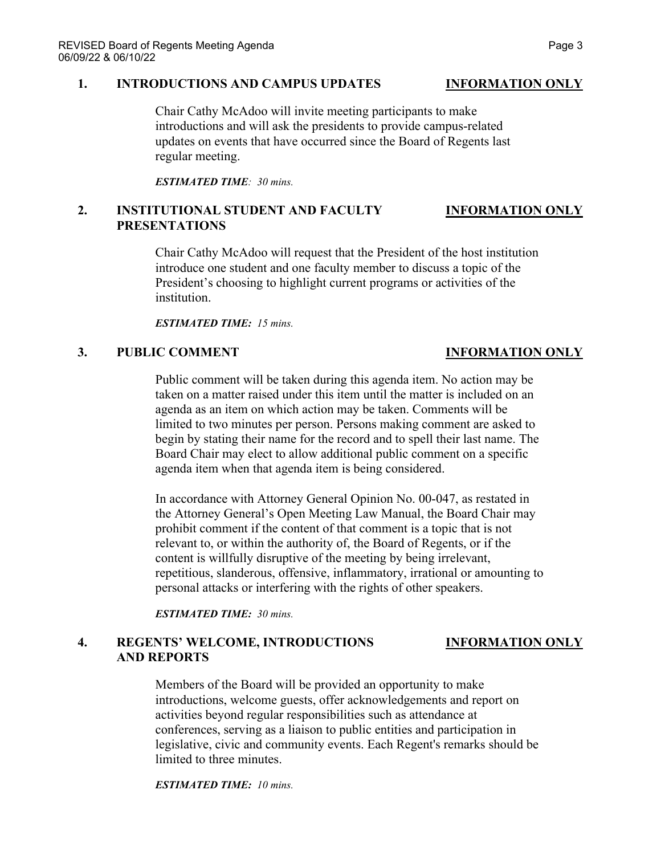#### **1. INTRODUCTIONS AND CAMPUS UPDATES INFORMATION ONLY**

Chair Cathy McAdoo will invite meeting participants to make introductions and will ask the presidents to provide campus-related updates on events that have occurred since the Board of Regents last regular meeting.

*ESTIMATED TIME: 30 mins.*

### **2. INSTITUTIONAL STUDENT AND FACULTY INFORMATION ONLY PRESENTATIONS**

Chair Cathy McAdoo will request that the President of the host institution introduce one student and one faculty member to discuss a topic of the President's choosing to highlight current programs or activities of the institution.

*ESTIMATED TIME: 15 mins.*

### **3. PUBLIC COMMENT INFORMATION ONLY**

Public comment will be taken during this agenda item. No action may be taken on a matter raised under this item until the matter is included on an agenda as an item on which action may be taken. Comments will be limited to two minutes per person. Persons making comment are asked to begin by stating their name for the record and to spell their last name. The Board Chair may elect to allow additional public comment on a specific agenda item when that agenda item is being considered.

In accordance with Attorney General Opinion No. 00-047, as restated in the Attorney General's Open Meeting Law Manual, the Board Chair may prohibit comment if the content of that comment is a topic that is not relevant to, or within the authority of, the Board of Regents, or if the content is willfully disruptive of the meeting by being irrelevant, repetitious, slanderous, offensive, inflammatory, irrational or amounting to personal attacks or interfering with the rights of other speakers.

*ESTIMATED TIME: 30 mins.*

### **4. REGENTS' WELCOME, INTRODUCTIONS INFORMATION ONLY AND REPORTS**

Members of the Board will be provided an opportunity to make introductions, welcome guests, offer acknowledgements and report on activities beyond regular responsibilities such as attendance at conferences, serving as a liaison to public entities and participation in legislative, civic and community events. Each Regent's remarks should be limited to three minutes.

*ESTIMATED TIME: 10 mins.*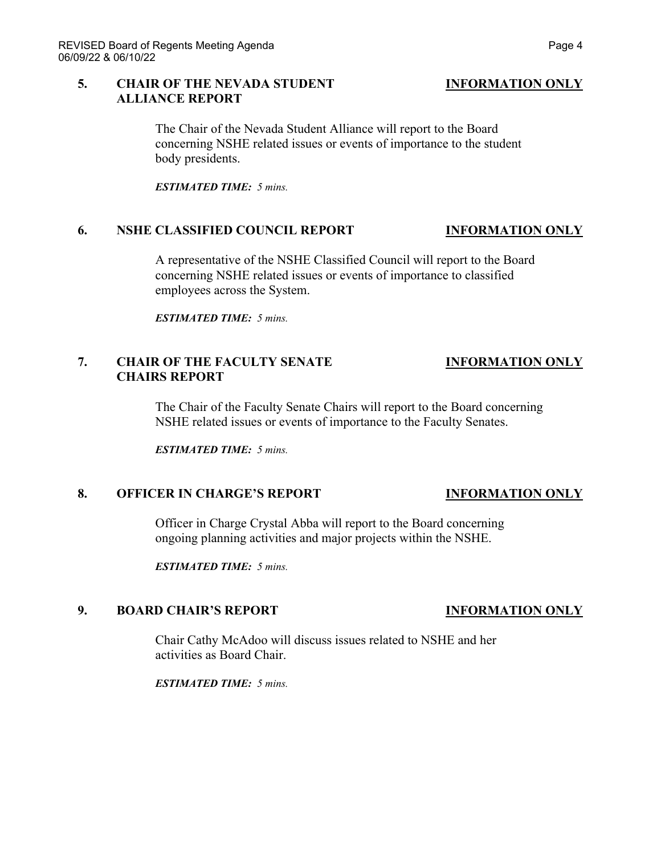### **5. CHAIR OF THE NEVADA STUDENT INFORMATION ONLY ALLIANCE REPORT**

The Chair of the Nevada Student Alliance will report to the Board concerning NSHE related issues or events of importance to the student body presidents.

*ESTIMATED TIME: 5 mins.*

### **6. NSHE CLASSIFIED COUNCIL REPORT INFORMATION ONLY**

A representative of the NSHE Classified Council will report to the Board concerning NSHE related issues or events of importance to classified employees across the System.

*ESTIMATED TIME: 5 mins.*

## **7. CHAIR OF THE FACULTY SENATE INFORMATION ONLY CHAIRS REPORT**

The Chair of the Faculty Senate Chairs will report to the Board concerning NSHE related issues or events of importance to the Faculty Senates.

*ESTIMATED TIME: 5 mins.*

### **8. OFFICER IN CHARGE'S REPORT INFORMATION ONLY**

Officer in Charge Crystal Abba will report to the Board concerning ongoing planning activities and major projects within the NSHE.

*ESTIMATED TIME: 5 mins.*

### **9. BOARD CHAIR'S REPORT INFORMATION ONLY**

Chair Cathy McAdoo will discuss issues related to NSHE and her activities as Board Chair.

*ESTIMATED TIME: 5 mins.*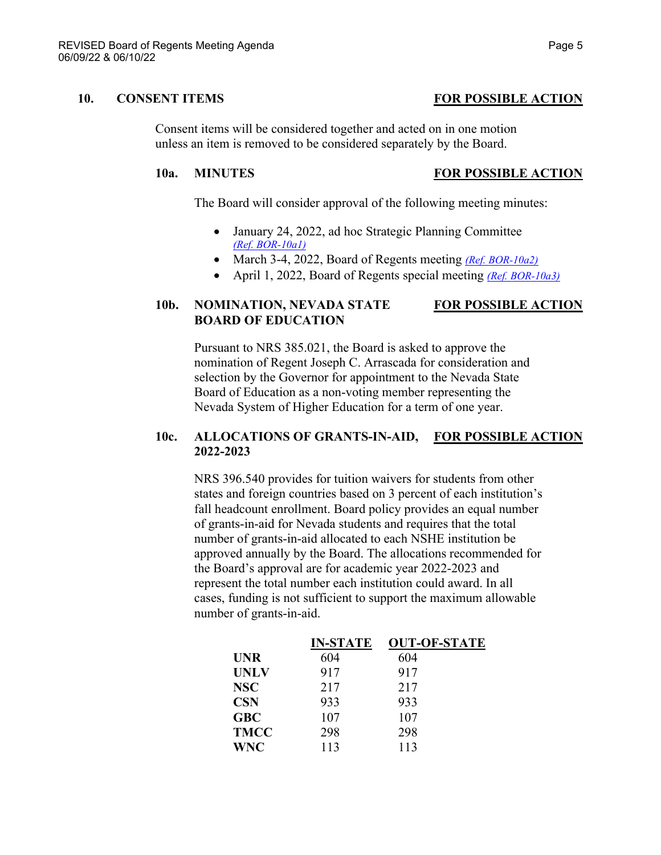Consent items will be considered together and acted on in one motion unless an item is removed to be considered separately by the Board.

### **10a. MINUTES FOR POSSIBLE ACTION**

The Board will consider approval of the following meeting minutes:

- January 24, 2022, ad hoc Strategic Planning Committee *[\(Ref. BOR-10a1\)](https://nshe.nevada.edu/wp-content/uploads/file/BoardOfRegents/Agendas/2022/06-jun-mtgs/bor-refs/BOR-10a1.pdf)*
- March 3-4, 2022, Board of Regents meeting *[\(Ref. BOR-10a2\)](https://nshe.nevada.edu/wp-content/uploads/file/BoardOfRegents/Agendas/2022/06-jun-mtgs/bor-refs/BOR-10a2.pdf)*
- April 1, 2022, Board of Regents special meeting *[\(Ref. BOR-10a3\)](https://nshe.nevada.edu/wp-content/uploads/file/BoardOfRegents/Agendas/2022/06-jun-mtgs/bor-refs/BOR-10a3.pdf)*

# **10b. NOMINATION, NEVADA STATE FOR POSSIBLE ACTION BOARD OF EDUCATION**

Pursuant to NRS 385.021, the Board is asked to approve the nomination of Regent Joseph C. Arrascada for consideration and selection by the Governor for appointment to the Nevada State Board of Education as a non-voting member representing the Nevada System of Higher Education for a term of one year.

### **10c. ALLOCATIONS OF GRANTS-IN-AID, FOR POSSIBLE ACTION 2022-2023**

NRS 396.540 provides for tuition waivers for students from other states and foreign countries based on 3 percent of each institution's fall headcount enrollment. Board policy provides an equal number of grants-in-aid for Nevada students and requires that the total number of grants-in-aid allocated to each NSHE institution be approved annually by the Board. The allocations recommended for the Board's approval are for academic year 2022-2023 and represent the total number each institution could award. In all cases, funding is not sufficient to support the maximum allowable number of grants-in-aid.

| <b>IN-STATE</b> | <b>OUT-OF-STATE</b> |
|-----------------|---------------------|
| 604             | 604                 |
| 917             | 917                 |
| 217             | 217                 |
| 933             | 933                 |
| 107             | 107                 |
| 298             | 298                 |
| 113             | 113                 |
|                 |                     |

# **10. CONSENT ITEMS FOR POSSIBLE ACTION**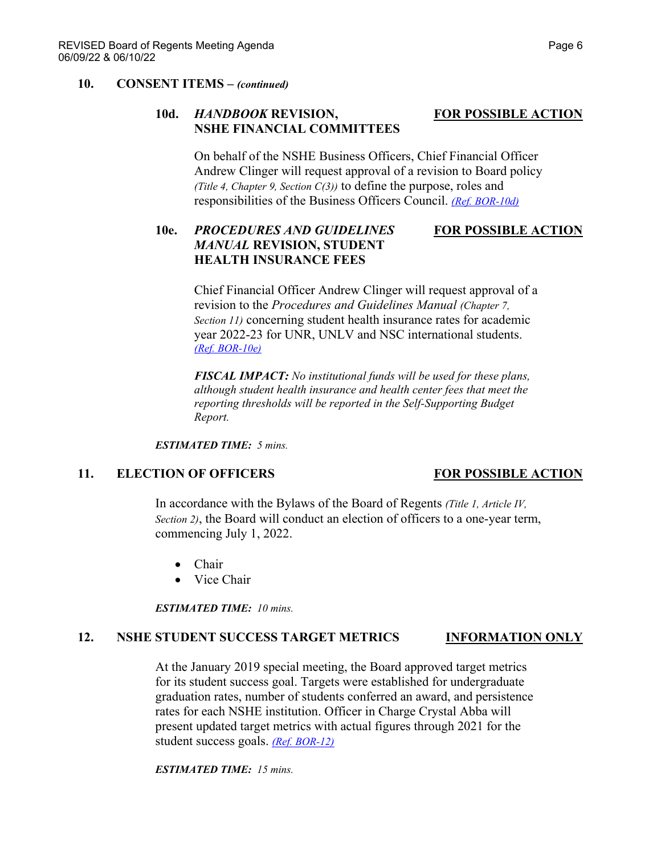#### **10. CONSENT ITEMS –** *(continued)*

### **10d.** *HANDBOOK* **REVISION, FOR POSSIBLE ACTION NSHE FINANCIAL COMMITTEES**

On behalf of the NSHE Business Officers, Chief Financial Officer Andrew Clinger will request approval of a revision to Board policy *(Title 4, Chapter 9, Section C(3))* to define the purpose, roles and responsibilities of the Business Officers Council. *[\(Ref. BOR-10d\)](https://nshe.nevada.edu/wp-content/uploads/file/BoardOfRegents/Agendas/2022/06-jun-mtgs/bor-refs/BOR-10d.pdf)*

# **10e.** *PROCEDURES AND GUIDELINES* **FOR POSSIBLE ACTION** *MANUAL* **REVISION, STUDENT HEALTH INSURANCE FEES**

Chief Financial Officer Andrew Clinger will request approval of a revision to the *Procedures and Guidelines Manual (Chapter 7, Section 11)* concerning student health insurance rates for academic year 2022-23 for UNR, UNLV and NSC international students. *[\(Ref. BOR-10e\)](https://nshe.nevada.edu/wp-content/uploads/file/BoardOfRegents/Agendas/2022/06-jun-mtgs/bor-refs/BOR-10e.pdf)*

*FISCAL IMPACT: No institutional funds will be used for these plans, although student health insurance and health center fees that meet the reporting thresholds will be reported in the Self-Supporting Budget Report.*

*ESTIMATED TIME: 5 mins.*

### **11. ELECTION OF OFFICERS FOR POSSIBLE ACTION**

In accordance with the Bylaws of the Board of Regents *(Title 1, Article IV, Section 2)*, the Board will conduct an election of officers to a one-year term, commencing July 1, 2022.

- Chair
- Vice Chair

*ESTIMATED TIME: 10 mins.*

#### **12. NSHE STUDENT SUCCESS TARGET METRICS INFORMATION ONLY**

At the January 2019 special meeting, the Board approved target metrics for its student success goal. Targets were established for undergraduate graduation rates, number of students conferred an award, and persistence rates for each NSHE institution. Officer in Charge Crystal Abba will present updated target metrics with actual figures through 2021 for the student success goals. *[\(Ref. BOR-12\)](https://nshe.nevada.edu/wp-content/uploads/file/BoardOfRegents/Agendas/2022/06-jun-mtgs/bor-refs/BOR-12.pdf)*

*ESTIMATED TIME: 15 mins.*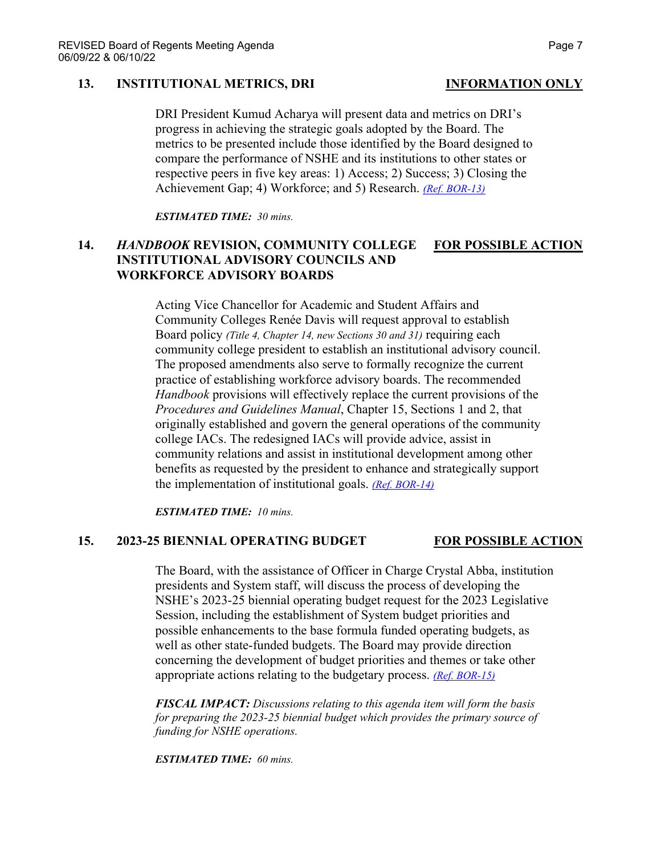### **13. INSTITUTIONAL METRICS, DRI INFORMATION ONLY**

DRI President Kumud Acharya will present data and metrics on DRI's progress in achieving the strategic goals adopted by the Board. The metrics to be presented include those identified by the Board designed to compare the performance of NSHE and its institutions to other states or respective peers in five key areas: 1) Access; 2) Success; 3) Closing the Achievement Gap; 4) Workforce; and 5) Research. *[\(Ref. BOR-13\)](https://nshe.nevada.edu/wp-content/uploads/file/BoardOfRegents/Agendas/2022/06-jun-mtgs/bor-refs/BOR-13.pdf)*

*ESTIMATED TIME: 30 mins.*

### **14.** *HANDBOOK* **REVISION, COMMUNITY COLLEGE FOR POSSIBLE ACTION INSTITUTIONAL ADVISORY COUNCILS AND WORKFORCE ADVISORY BOARDS**

Acting Vice Chancellor for Academic and Student Affairs and Community Colleges Renée Davis will request approval to establish Board policy *(Title 4, Chapter 14, new Sections 30 and 31)* requiring each community college president to establish an institutional advisory council. The proposed amendments also serve to formally recognize the current practice of establishing workforce advisory boards. The recommended *Handbook* provisions will effectively replace the current provisions of the *Procedures and Guidelines Manual*, Chapter 15, Sections 1 and 2, that originally established and govern the general operations of the community college IACs. The redesigned IACs will provide advice, assist in community relations and assist in institutional development among other benefits as requested by the president to enhance and strategically support the implementation of institutional goals. *[\(Ref. BOR-14\)](https://nshe.nevada.edu/wp-content/uploads/file/BoardOfRegents/Agendas/2022/06-jun-mtgs/bor-refs/BOR-14.pdf)*

*ESTIMATED TIME: 10 mins.*

#### **15. 2023-25 BIENNIAL OPERATING BUDGET FOR POSSIBLE ACTION**

The Board, with the assistance of Officer in Charge Crystal Abba, institution presidents and System staff, will discuss the process of developing the NSHE's 2023-25 biennial operating budget request for the 2023 Legislative Session, including the establishment of System budget priorities and possible enhancements to the base formula funded operating budgets, as well as other state-funded budgets. The Board may provide direction concerning the development of budget priorities and themes or take other appropriate actions relating to the budgetary process. *[\(Ref. BOR-15\)](https://nshe.nevada.edu/wp-content/uploads/file/BoardOfRegents/Agendas/2022/06-jun-mtgs/bor-refs/BOR-15.pdf)*

*FISCAL IMPACT: Discussions relating to this agenda item will form the basis for preparing the 2023-25 biennial budget which provides the primary source of funding for NSHE operations.*

*ESTIMATED TIME: 60 mins.*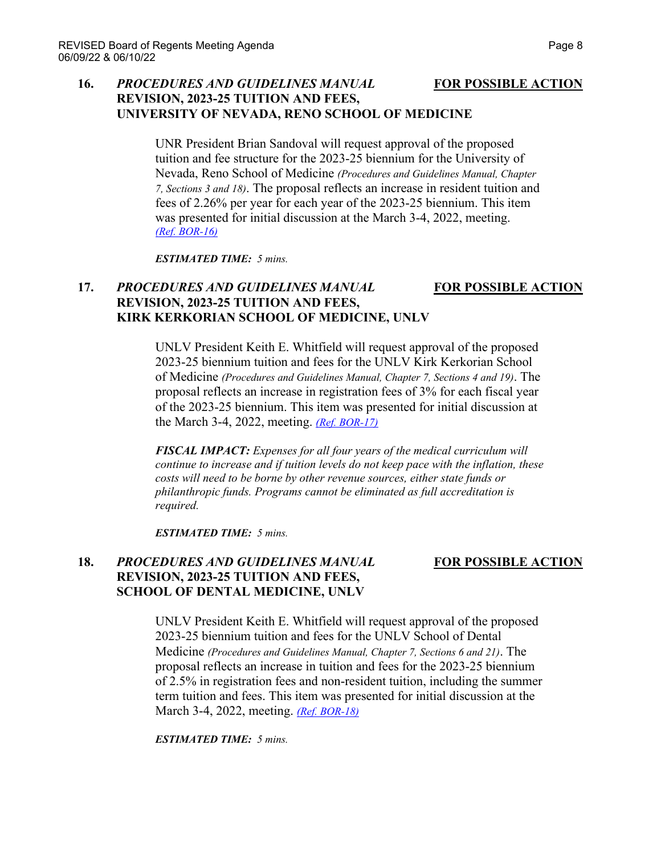### **16.** *PROCEDURES AND GUIDELINES MANUAL* **FOR POSSIBLE ACTION REVISION, 2023-25 TUITION AND FEES, UNIVERSITY OF NEVADA, RENO SCHOOL OF MEDICINE**

UNR President Brian Sandoval will request approval of the proposed tuition and fee structure for the 2023-25 biennium for the University of Nevada, Reno School of Medicine *(Procedures and Guidelines Manual, Chapter 7, Sections 3 and 18)*. The proposal reflects an increase in resident tuition and fees of 2.26% per year for each year of the 2023-25 biennium. This item was presented for initial discussion at the March 3-4, 2022, meeting. *[\(Ref. BOR-16\)](https://nshe.nevada.edu/wp-content/uploads/file/BoardOfRegents/Agendas/2022/06-jun-mtgs/bor-refs/BOR-16.pdf)*

*ESTIMATED TIME: 5 mins.*

# **17.** *PROCEDURES AND GUIDELINES MANUAL* **FOR POSSIBLE ACTION REVISION, 2023-25 TUITION AND FEES, KIRK KERKORIAN SCHOOL OF MEDICINE, UNLV**

UNLV President Keith E. Whitfield will request approval of the proposed 2023-25 biennium tuition and fees for the UNLV Kirk Kerkorian School of Medicine *(Procedures and Guidelines Manual, Chapter 7, Sections 4 and 19)*. The proposal reflects an increase in registration fees of 3% for each fiscal year of the 2023-25 biennium. This item was presented for initial discussion at the March 3-4, 2022, meeting. *[\(Ref. BOR-17\)](https://nshe.nevada.edu/wp-content/uploads/file/BoardOfRegents/Agendas/2022/06-jun-mtgs/bor-refs/BOR-17.pdf)*

*FISCAL IMPACT: Expenses for all four years of the medical curriculum will continue to increase and if tuition levels do not keep pace with the inflation, these costs will need to be borne by other revenue sources, either state funds or philanthropic funds. Programs cannot be eliminated as full accreditation is required.*

*ESTIMATED TIME: 5 mins.*

## **18.** *PROCEDURES AND GUIDELINES MANUAL* **FOR POSSIBLE ACTION REVISION, 2023-25 TUITION AND FEES, SCHOOL OF DENTAL MEDICINE, UNLV**

UNLV President Keith E. Whitfield will request approval of the proposed 2023-25 biennium tuition and fees for the UNLV School of Dental Medicine *(Procedures and Guidelines Manual, Chapter 7, Sections 6 and 21)*. The proposal reflects an increase in tuition and fees for the 2023-25 biennium of 2.5% in registration fees and non-resident tuition, including the summer term tuition and fees. This item was presented for initial discussion at the March 3-4, 2022, meeting. *[\(Ref. BOR-18\)](https://nshe.nevada.edu/wp-content/uploads/file/BoardOfRegents/Agendas/2022/06-jun-mtgs/bor-refs/BOR-18.pdf)*

*ESTIMATED TIME: 5 mins.*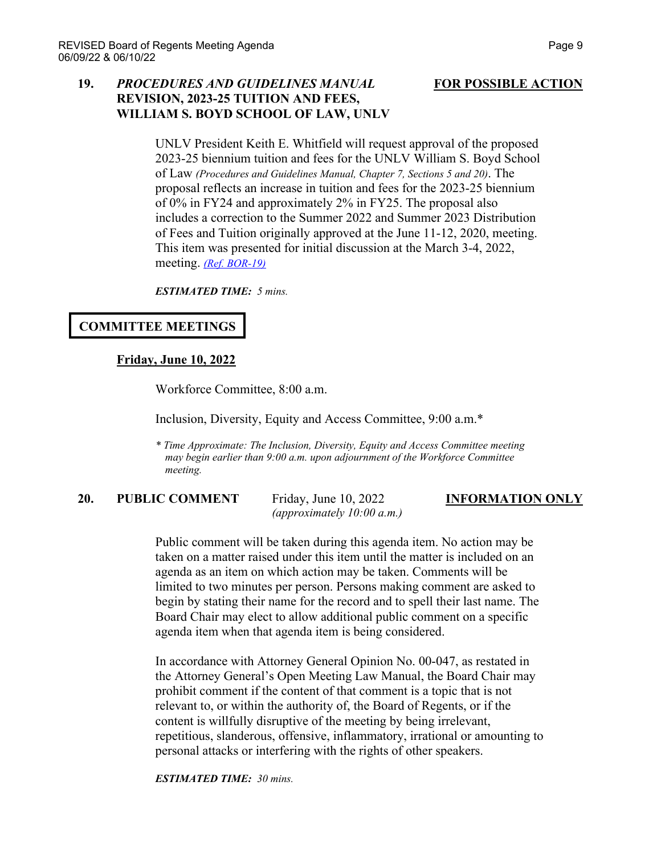### **19.** *PROCEDURES AND GUIDELINES MANUAL* **FOR POSSIBLE ACTION REVISION, 2023-25 TUITION AND FEES, WILLIAM S. BOYD SCHOOL OF LAW, UNLV**

UNLV President Keith E. Whitfield will request approval of the proposed 2023-25 biennium tuition and fees for the UNLV William S. Boyd School of Law *(Procedures and Guidelines Manual, Chapter 7, Sections 5 and 20)*. The proposal reflects an increase in tuition and fees for the 2023-25 biennium of 0% in FY24 and approximately 2% in FY25. The proposal also includes a correction to the Summer 2022 and Summer 2023 Distribution of Fees and Tuition originally approved at the June 11-12, 2020, meeting. This item was presented for initial discussion at the March 3-4, 2022, meeting. *[\(Ref. BOR-19\)](https://nshe.nevada.edu/wp-content/uploads/file/BoardOfRegents/Agendas/2022/06-jun-mtgs/bor-refs/BOR-19.pdf)*

*ESTIMATED TIME: 5 mins.*

### **COMMITTEE MEETINGS**

### **Friday, June 10, 2022**

Workforce Committee, 8:00 a.m.

Inclusion, Diversity, Equity and Access Committee, 9:00 a.m.\*

*\* Time Approximate: The Inclusion, Diversity, Equity and Access Committee meeting may begin earlier than 9:00 a.m. upon adjournment of the Workforce Committee meeting.* 

# **20. PUBLIC COMMENT** Friday, June 10, 2022 **INFORMATION ONLY**

*(approximately 10:00 a.m.)*

Public comment will be taken during this agenda item. No action may be taken on a matter raised under this item until the matter is included on an agenda as an item on which action may be taken. Comments will be limited to two minutes per person. Persons making comment are asked to begin by stating their name for the record and to spell their last name. The Board Chair may elect to allow additional public comment on a specific agenda item when that agenda item is being considered.

In accordance with Attorney General Opinion No. 00-047, as restated in the Attorney General's Open Meeting Law Manual, the Board Chair may prohibit comment if the content of that comment is a topic that is not relevant to, or within the authority of, the Board of Regents, or if the content is willfully disruptive of the meeting by being irrelevant, repetitious, slanderous, offensive, inflammatory, irrational or amounting to personal attacks or interfering with the rights of other speakers.

*ESTIMATED TIME: 30 mins.*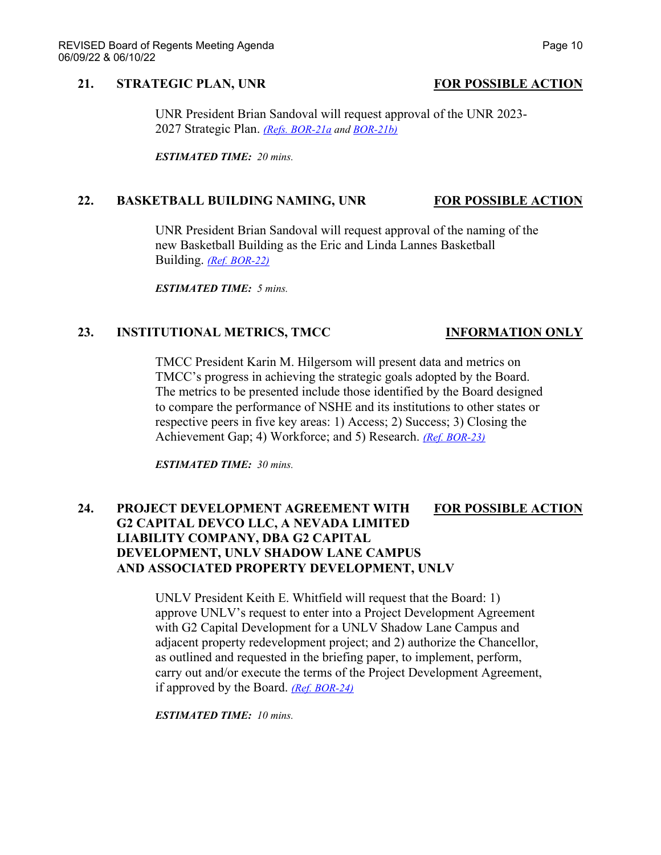### **21. STRATEGIC PLAN, UNR FOR POSSIBLE ACTION**

### UNR President Brian Sandoval will request approval of the UNR 2023- 2027 Strategic Plan. *[\(Refs. BOR-21a](https://nshe.nevada.edu/wp-content/uploads/file/BoardOfRegents/Agendas/2022/06-jun-mtgs/bor-refs/BOR-21a.pdf) and [BOR-21b\)](https://nshe.nevada.edu/wp-content/uploads/file/BoardOfRegents/Agendas/2022/06-jun-mtgs/bor-refs/BOR-21b.pdf)*

*ESTIMATED TIME: 20 mins.*

### **22. BASKETBALL BUILDING NAMING, UNR FOR POSSIBLE ACTION**

UNR President Brian Sandoval will request approval of the naming of the new Basketball Building as the Eric and Linda Lannes Basketball Building. *[\(Ref. BOR-22\)](https://nshe.nevada.edu/wp-content/uploads/file/BoardOfRegents/Agendas/2022/06-jun-mtgs/bor-refs/BOR-22.pdf)*

*ESTIMATED TIME: 5 mins.*

### **23. INSTITUTIONAL METRICS, TMCC INFORMATION ONLY**

TMCC President Karin M. Hilgersom will present data and metrics on TMCC's progress in achieving the strategic goals adopted by the Board. The metrics to be presented include those identified by the Board designed to compare the performance of NSHE and its institutions to other states or respective peers in five key areas: 1) Access; 2) Success; 3) Closing the Achievement Gap; 4) Workforce; and 5) Research. *[\(Ref. BOR-23\)](https://nshe.nevada.edu/wp-content/uploads/file/BoardOfRegents/Agendas/2022/06-jun-mtgs/bor-refs/BOR-23.pdf)*

*ESTIMATED TIME: 30 mins.*

# **24. PROJECT DEVELOPMENT AGREEMENT WITH FOR POSSIBLE ACTION G2 CAPITAL DEVCO LLC, A NEVADA LIMITED LIABILITY COMPANY, DBA G2 CAPITAL DEVELOPMENT, UNLV SHADOW LANE CAMPUS AND ASSOCIATED PROPERTY DEVELOPMENT, UNLV**

UNLV President Keith E. Whitfield will request that the Board: 1) approve UNLV's request to enter into a Project Development Agreement with G2 Capital Development for a UNLV Shadow Lane Campus and adjacent property redevelopment project; and 2) authorize the Chancellor, as outlined and requested in the briefing paper, to implement, perform, carry out and/or execute the terms of the Project Development Agreement, if approved by the Board. *[\(Ref. BOR-24\)](https://nshe.nevada.edu/wp-content/uploads/file/BoardOfRegents/Agendas/2022/06-jun-mtgs/bor-refs/BOR-24.pdf)*

*ESTIMATED TIME: 10 mins.*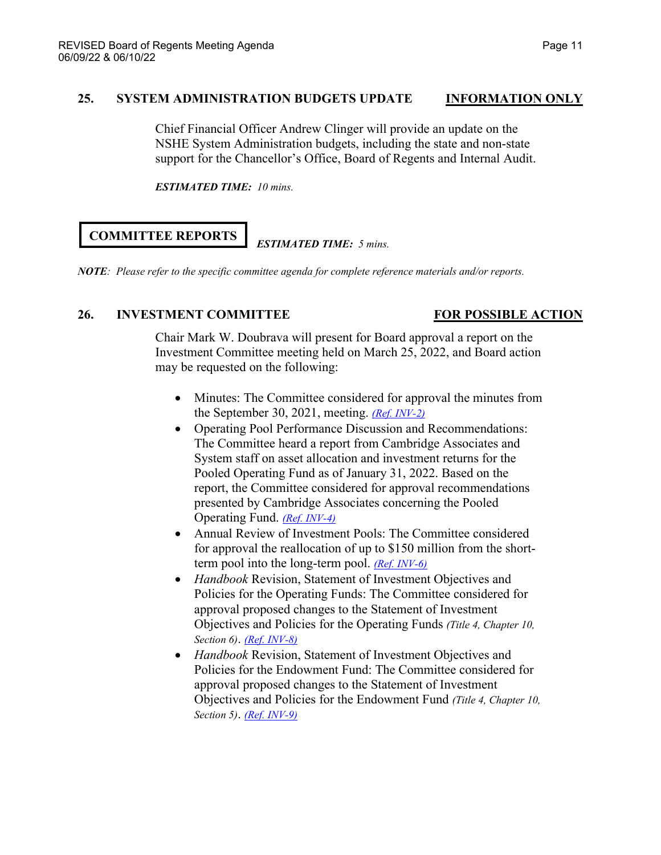# **25. SYSTEM ADMINISTRATION BUDGETS UPDATE INFORMATION ONLY**

Chief Financial Officer Andrew Clinger will provide an update on the NSHE System Administration budgets, including the state and non-state support for the Chancellor's Office, Board of Regents and Internal Audit.

*ESTIMATED TIME: 10 mins.*

# **COMMITTEE REPORTS**

# *ESTIMATED TIME: 5 mins.*

*NOTE: Please refer to the specific committee agenda for complete reference materials and/or reports.*

# **26. INVESTMENT COMMITTEE FOR POSSIBLE ACTION**

Chair Mark W. Doubrava will present for Board approval a report on the Investment Committee meeting held on March 25, 2022, and Board action may be requested on the following:

- Minutes: The Committee considered for approval the minutes from the September 30, 2021, meeting. *[\(Ref. INV-2\)](https://nshe.nevada.edu/wp-content/uploads/file/BoardOfRegents/Agendas/2022/03-mar-mtgs/inv-refs/INV-2.pdf)*
- Operating Pool Performance Discussion and Recommendations: The Committee heard a report from Cambridge Associates and System staff on asset allocation and investment returns for the Pooled Operating Fund as of January 31, 2022. Based on the report, the Committee considered for approval recommendations presented by Cambridge Associates concerning the Pooled Operating Fund. *[\(Ref. INV-4\)](https://nshe.nevada.edu/wp-content/uploads/file/BoardOfRegents/Agendas/2022/03-mar-mtgs/inv-refs/INV-4.pdf)*
- Annual Review of Investment Pools: The Committee considered for approval the reallocation of up to \$150 million from the shortterm pool into the long-term pool. *[\(Ref. INV-6\)](https://nshe.nevada.edu/wp-content/uploads/file/BoardOfRegents/Agendas/2022/03-mar-mtgs/inv-refs/INV-6.pdf)*
- *Handbook* Revision, Statement of Investment Objectives and Policies for the Operating Funds: The Committee considered for approval proposed changes to the Statement of Investment Objectives and Policies for the Operating Funds *(Title 4, Chapter 10, Section 6)*. *[\(Ref. INV-8\)](https://nshe.nevada.edu/wp-content/uploads/file/BoardOfRegents/Agendas/2022/03-mar-mtgs/inv-refs/INV-8.pdf)*
- *Handbook* Revision, Statement of Investment Objectives and Policies for the Endowment Fund: The Committee considered for approval proposed changes to the Statement of Investment Objectives and Policies for the Endowment Fund *(Title 4, Chapter 10, Section 5)*. *[\(Ref. INV-9\)](https://nshe.nevada.edu/wp-content/uploads/file/BoardOfRegents/Agendas/2022/03-mar-mtgs/inv-refs/INV-9.pdf)*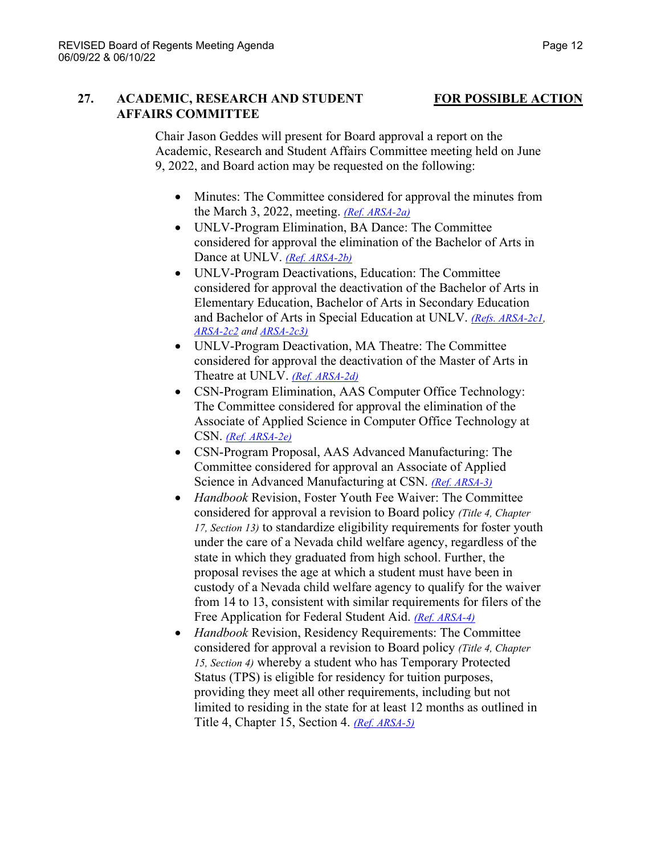# **27. ACADEMIC, RESEARCH AND STUDENT FOR POSSIBLE ACTION AFFAIRS COMMITTEE**

Chair Jason Geddes will present for Board approval a report on the Academic, Research and Student Affairs Committee meeting held on June 9, 2022, and Board action may be requested on the following:

- Minutes: The Committee considered for approval the minutes from the March 3, 2022, meeting. *[\(Ref. ARSA-2a\)](https://nshe.nevada.edu/wp-content/uploads/file/BoardOfRegents/Agendas/2022/06-jun-mtgs/arsa-refs/ARSA-2a.pdf)*
- UNLV-Program Elimination, BA Dance: The Committee considered for approval the elimination of the Bachelor of Arts in Dance at UNLV. *[\(Ref. ARSA-2b\)](https://nshe.nevada.edu/wp-content/uploads/file/BoardOfRegents/Agendas/2022/06-jun-mtgs/arsa-refs/ARSA-2b.pdf)*
- UNLV-Program Deactivations, Education: The Committee considered for approval the deactivation of the Bachelor of Arts in Elementary Education, Bachelor of Arts in Secondary Education and Bachelor of Arts in Special Education at UNLV. *[\(Refs. ARSA-2c1,](https://nshe.nevada.edu/wp-content/uploads/file/BoardOfRegents/Agendas/2022/06-jun-mtgs/arsa-refs/ARSA-2c1.pdf) [ARSA-2c2](https://nshe.nevada.edu/wp-content/uploads/file/BoardOfRegents/Agendas/2022/06-jun-mtgs/arsa-refs/ARSA-2c2.pdf) and [ARSA-2c3\)](https://nshe.nevada.edu/wp-content/uploads/file/BoardOfRegents/Agendas/2022/06-jun-mtgs/arsa-refs/ARSA-2c3.pdf)*
- UNLV-Program Deactivation, MA Theatre: The Committee considered for approval the deactivation of the Master of Arts in Theatre at UNLV. *[\(Ref. ARSA-2d\)](https://nshe.nevada.edu/wp-content/uploads/file/BoardOfRegents/Agendas/2022/06-jun-mtgs/arsa-refs/ARSA-2d.pdf)*
- CSN-Program Elimination, AAS Computer Office Technology: The Committee considered for approval the elimination of the Associate of Applied Science in Computer Office Technology at CSN. *[\(Ref. ARSA-2e\)](https://nshe.nevada.edu/wp-content/uploads/file/BoardOfRegents/Agendas/2022/06-jun-mtgs/arsa-refs/ARSA-2e.pdf)*
- CSN-Program Proposal, AAS Advanced Manufacturing: The Committee considered for approval an Associate of Applied Science in Advanced Manufacturing at CSN. *[\(Ref. ARSA-3\)](https://nshe.nevada.edu/wp-content/uploads/file/BoardOfRegents/Agendas/2022/06-jun-mtgs/arsa-refs/ARSA-3.pdf)*
- *Handbook* Revision, Foster Youth Fee Waiver: The Committee considered for approval a revision to Board policy *(Title 4, Chapter 17, Section 13)* to standardize eligibility requirements for foster youth under the care of a Nevada child welfare agency, regardless of the state in which they graduated from high school. Further, the proposal revises the age at which a student must have been in custody of a Nevada child welfare agency to qualify for the waiver from 14 to 13, consistent with similar requirements for filers of the Free Application for Federal Student Aid. *[\(Ref. ARSA-4\)](https://nshe.nevada.edu/wp-content/uploads/file/BoardOfRegents/Agendas/2022/06-jun-mtgs/arsa-refs/ARSA-4.pdf)*
- *Handbook* Revision, Residency Requirements: The Committee considered for approval a revision to Board policy *(Title 4, Chapter 15, Section 4)* whereby a student who has Temporary Protected Status (TPS) is eligible for residency for tuition purposes, providing they meet all other requirements, including but not limited to residing in the state for at least 12 months as outlined in Title 4, Chapter 15, Section 4. *[\(Ref. ARSA-5\)](https://nshe.nevada.edu/wp-content/uploads/file/BoardOfRegents/Agendas/2022/06-jun-mtgs/arsa-refs/ARSA-5.pdf)*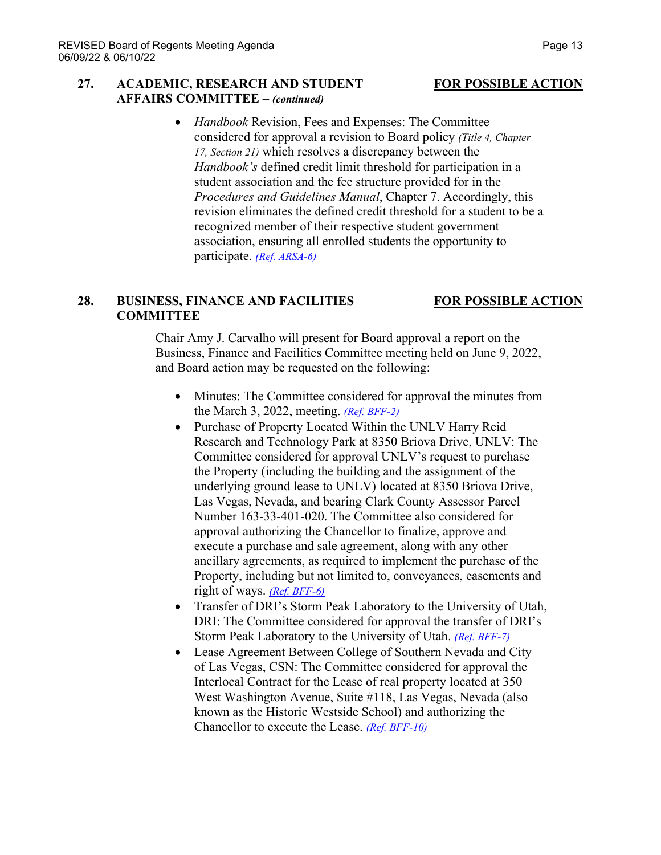### **27. ACADEMIC, RESEARCH AND STUDENT FOR POSSIBLE ACTION AFFAIRS COMMITTEE –** *(continued)*

• *Handbook* Revision, Fees and Expenses: The Committee considered for approval a revision to Board policy *(Title 4, Chapter 17, Section 21)* which resolves a discrepancy between the *Handbook's* defined credit limit threshold for participation in a student association and the fee structure provided for in the *Procedures and Guidelines Manual*, Chapter 7. Accordingly, this revision eliminates the defined credit threshold for a student to be a recognized member of their respective student government association, ensuring all enrolled students the opportunity to participate. *[\(Ref. ARSA-6\)](https://nshe.nevada.edu/wp-content/uploads/file/BoardOfRegents/Agendas/2022/06-jun-mtgs/arsa-refs/ARSA-6.pdf)*

## **28. BUSINESS, FINANCE AND FACILITIES FOR POSSIBLE ACTION COMMITTEE**

Chair Amy J. Carvalho will present for Board approval a report on the Business, Finance and Facilities Committee meeting held on June 9, 2022, and Board action may be requested on the following:

- Minutes: The Committee considered for approval the minutes from the March 3, 2022, meeting. *[\(Ref. BFF-2\)](https://nshe.nevada.edu/wp-content/uploads/file/BoardOfRegents/Agendas/2022/06-jun-mtgs/bff-refs/BFF-2.pdf)*
- Purchase of Property Located Within the UNLV Harry Reid Research and Technology Park at 8350 Briova Drive, UNLV: The Committee considered for approval UNLV's request to purchase the Property (including the building and the assignment of the underlying ground lease to UNLV) located at 8350 Briova Drive, Las Vegas, Nevada, and bearing Clark County Assessor Parcel Number 163-33-401-020. The Committee also considered for approval authorizing the Chancellor to finalize, approve and execute a purchase and sale agreement, along with any other ancillary agreements, as required to implement the purchase of the Property, including but not limited to, conveyances, easements and right of ways. *[\(Ref. BFF-6\)](https://nshe.nevada.edu/wp-content/uploads/file/BoardOfRegents/Agendas/2022/06-jun-mtgs/bff-refs/BFF-6.pdf)*
- Transfer of DRI's Storm Peak Laboratory to the University of Utah, DRI: The Committee considered for approval the transfer of DRI's Storm Peak Laboratory to the University of Utah. *[\(Ref. BFF-7\)](https://nshe.nevada.edu/wp-content/uploads/file/BoardOfRegents/Agendas/2022/06-jun-mtgs/bff-refs/BFF-7.pdf)*
- Lease Agreement Between College of Southern Nevada and City of Las Vegas, CSN: The Committee considered for approval the Interlocal Contract for the Lease of real property located at 350 West Washington Avenue, Suite #118, Las Vegas, Nevada (also known as the Historic Westside School) and authorizing the Chancellor to execute the Lease. *[\(Ref. BFF-10\)](https://nshe.nevada.edu/wp-content/uploads/file/BoardOfRegents/Agendas/2022/06-jun-mtgs/bff-refs/BFF-10.pdf)*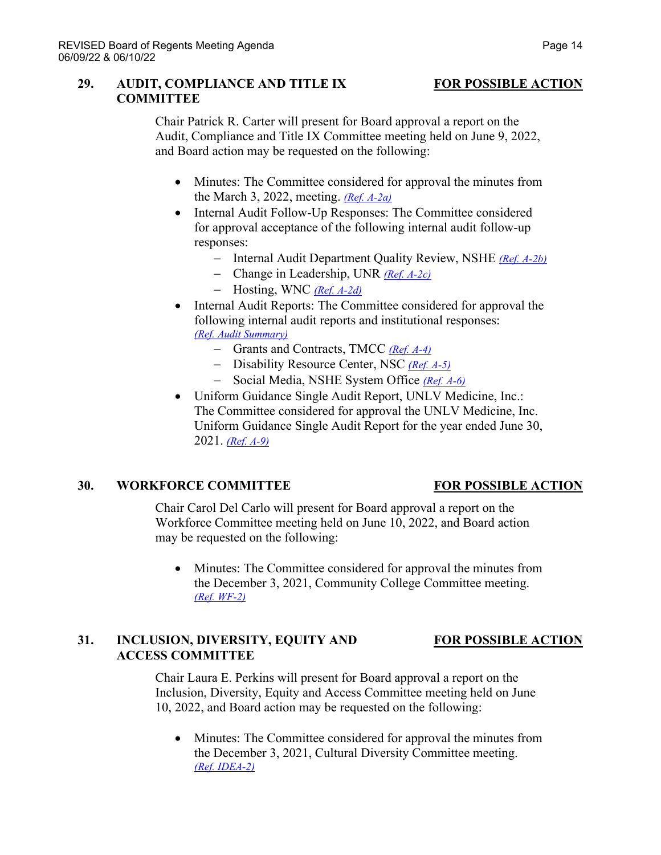### **29. AUDIT, COMPLIANCE AND TITLE IX FOR POSSIBLE ACTION COMMITTEE**

Chair Patrick R. Carter will present for Board approval a report on the Audit, Compliance and Title IX Committee meeting held on June 9, 2022, and Board action may be requested on the following:

- Minutes: The Committee considered for approval the minutes from the March 3, 2022, meeting. *[\(Ref. A-2a\)](https://nshe.nevada.edu/wp-content/uploads/file/BoardOfRegents/Agendas/2022/06-jun-mtgs/ac-refs/A-2a.pdf)*
- Internal Audit Follow-Up Responses: The Committee considered for approval acceptance of the following internal audit follow-up responses:
	- − Internal Audit Department Quality Review, NSHE *[\(Ref. A-2b\)](https://nshe.nevada.edu/wp-content/uploads/file/BoardOfRegents/Agendas/2022/06-jun-mtgs/ac-refs/A-2b.pdf)*
	- − Change in Leadership, UNR *[\(Ref. A-2c\)](https://nshe.nevada.edu/wp-content/uploads/file/BoardOfRegents/Agendas/2022/06-jun-mtgs/ac-refs/A-2c.pdf)*
	- − Hosting, WNC *[\(Ref. A-2d\)](https://nshe.nevada.edu/wp-content/uploads/file/BoardOfRegents/Agendas/2022/06-jun-mtgs/ac-refs/A-2d.pdf)*
- Internal Audit Reports: The Committee considered for approval the following internal audit reports and institutional responses: *[\(Ref. Audit Summary\)](https://nshe.nevada.edu/wp-content/uploads/file/BoardOfRegents/Agendas/2022/06-jun-mtgs/ac-refs/Audit%20Summary.pdf)*
	- − Grants and Contracts, TMCC *[\(Ref. A-4\)](https://nshe.nevada.edu/wp-content/uploads/file/BoardOfRegents/Agendas/2022/06-jun-mtgs/ac-refs/A-4.pdf)*
	- − Disability Resource Center, NSC *[\(Ref. A-5\)](https://nshe.nevada.edu/wp-content/uploads/file/BoardOfRegents/Agendas/2022/06-jun-mtgs/ac-refs/A-5.pdf)*
	- − Social Media, NSHE System Office *[\(Ref. A-6\)](https://nshe.nevada.edu/wp-content/uploads/file/BoardOfRegents/Agendas/2022/06-jun-mtgs/ac-refs/A-6.pdf)*
- Uniform Guidance Single Audit Report, UNLV Medicine, Inc.: The Committee considered for approval the UNLV Medicine, Inc. Uniform Guidance Single Audit Report for the year ended June 30, 2021. *[\(Ref. A-9\)](https://nshe.nevada.edu/wp-content/uploads/file/BoardOfRegents/Agendas/2022/06-jun-mtgs/ac-refs/A-9.pdf)*

### **30. WORKFORCE COMMITTEE FOR POSSIBLE ACTION**

Chair Carol Del Carlo will present for Board approval a report on the Workforce Committee meeting held on June 10, 2022, and Board action may be requested on the following:

• Minutes: The Committee considered for approval the minutes from the December 3, 2021, Community College Committee meeting. *[\(Ref. WF-2\)](https://nshe.nevada.edu/wp-content/uploads/file/BoardOfRegents/Agendas/2022/06-jun-mtgs/wf-refs/WF-2.pdf)*

# **31. INCLUSION, DIVERSITY, EQUITY AND FOR POSSIBLE ACTION ACCESS COMMITTEE**

Chair Laura E. Perkins will present for Board approval a report on the Inclusion, Diversity, Equity and Access Committee meeting held on June 10, 2022, and Board action may be requested on the following:

• Minutes: The Committee considered for approval the minutes from the December 3, 2021, Cultural Diversity Committee meeting. *[\(Ref. IDEA-2\)](https://nshe.nevada.edu/wp-content/uploads/file/BoardOfRegents/Agendas/2022/06-jun-mtgs/idea-refs/IDEA-2.pdf)*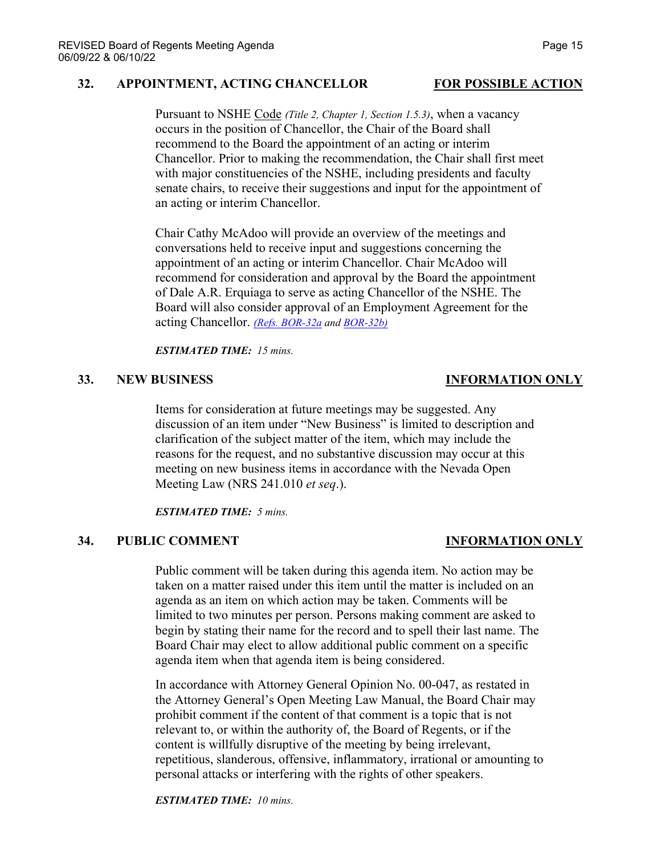### **32. APPOINTMENT, ACTING CHANCELLOR FOR POSSIBLE ACTION**

Pursuant to NSHE Code *(Title 2, Chapter 1, Section 1.5.3)*, when a vacancy occurs in the position of Chancellor, the Chair of the Board shall recommend to the Board the appointment of an acting or interim Chancellor. Prior to making the recommendation, the Chair shall first meet with major constituencies of the NSHE, including presidents and faculty senate chairs, to receive their suggestions and input for the appointment of an acting or interim Chancellor.

Chair Cathy McAdoo will provide an overview of the meetings and conversations held to receive input and suggestions concerning the appointment of an acting or interim Chancellor. Chair McAdoo will recommend for consideration and approval by the Board the appointment of Dale A.R. Erquiaga to serve as acting Chancellor of the NSHE. The Board will also consider approval of an Employment Agreement for the acting Chancellor. *[\(Refs. BOR-32a](https://nshe.nevada.edu/wp-content/uploads/file/BoardOfRegents/Agendas/2022/06-jun-mtgs/bor-refs/BOR-32a.pdf) and [BOR-32b\)](https://nshe.nevada.edu/wp-content/uploads/file/BoardOfRegents/Agendas/2022/06-jun-mtgs/bor-refs/BOR-32b.pdf)*

#### *ESTIMATED TIME: 15 mins.*

### **33. NEW BUSINESS INFORMATION ONLY**

Items for consideration at future meetings may be suggested. Any discussion of an item under "New Business" is limited to description and clarification of the subject matter of the item, which may include the reasons for the request, and no substantive discussion may occur at this meeting on new business items in accordance with the Nevada Open Meeting Law (NRS 241.010 *et seq*.).

*ESTIMATED TIME: 5 mins.*

### **34. PUBLIC COMMENT INFORMATION ONLY**

Public comment will be taken during this agenda item. No action may be taken on a matter raised under this item until the matter is included on an agenda as an item on which action may be taken. Comments will be limited to two minutes per person. Persons making comment are asked to begin by stating their name for the record and to spell their last name. The Board Chair may elect to allow additional public comment on a specific agenda item when that agenda item is being considered.

In accordance with Attorney General Opinion No. 00-047, as restated in the Attorney General's Open Meeting Law Manual, the Board Chair may prohibit comment if the content of that comment is a topic that is not relevant to, or within the authority of, the Board of Regents, or if the content is willfully disruptive of the meeting by being irrelevant, repetitious, slanderous, offensive, inflammatory, irrational or amounting to personal attacks or interfering with the rights of other speakers.

*ESTIMATED TIME: 10 mins.*